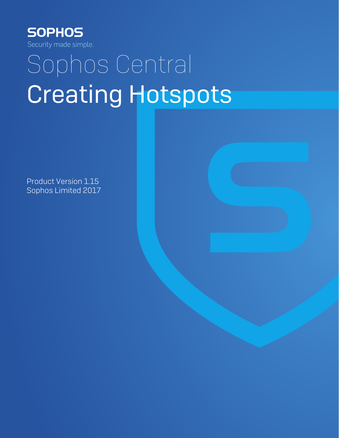

# Sophos Central Creating Hotspots

Product Version 1.15 Sophos Limited 2017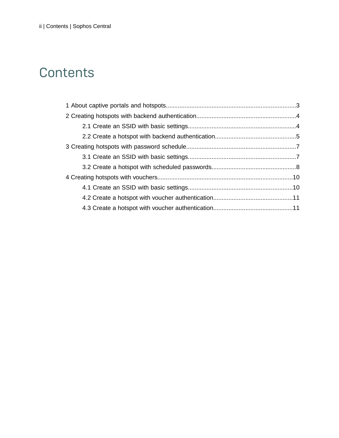# **Contents**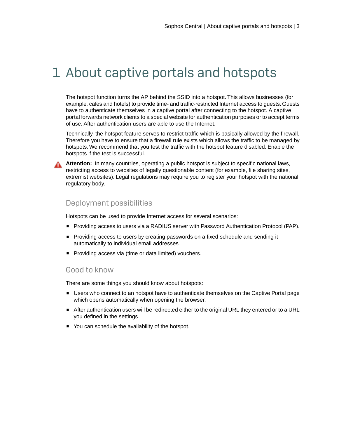# <span id="page-2-0"></span>1 About captive portals and hotspots

The hotspot function turns the AP behind the SSID into a hotspot. This allows businesses (for example, cafes and hotels) to provide time- and traffic-restricted Internet access to guests. Guests have to authenticate themselves in a captive portal after connecting to the hotspot. A captive portal forwards network clients to a special website for authentication purposes or to accept terms of use. After authentication users are able to use the Internet.

Technically, the hotspot feature serves to restrict traffic which is basically allowed by the firewall. Therefore you have to ensure that a firewall rule exists which allows the traffic to be managed by hotspots. We recommend that you test the traffic with the hotspot feature disabled. Enable the hotspots if the test is successful.



**Attention:** In many countries, operating a public hotspot is subject to specific national laws, restricting access to websites of legally questionable content (for example, file sharing sites, extremist websites). Legal regulations may require you to register your hotspot with the national regulatory body.

#### Deployment possibilities

Hotspots can be used to provide Internet access for several scenarios:

- Providing access to users via a RADIUS server with Password Authentication Protocol (PAP).
- Providing access to users by creating passwords on a fixed schedule and sending it automatically to individual email addresses.
- Providing access via (time or data limited) vouchers.

#### Good to know

There are some things you should know about hotspots:

- Users who connect to an hotspot have to authenticate themselves on the Captive Portal page which opens automatically when opening the browser.
- After authentication users will be redirected either to the original URL they entered or to a URL you defined in the settings.
- You can schedule the availability of the hotspot.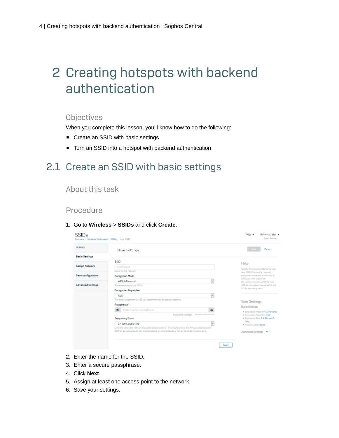# <span id="page-3-0"></span>2 Creating hotspots with backend authentication

#### **Objectives**

When you complete this lesson, you'll know how to do the following:

- Create an SSID with basic settings
- Turn an SSID into a hotspot with backend authentication

### <span id="page-3-1"></span>2.1 Create an SSID with basic settings

#### About this task

#### Procedure

1. Go to **Wireless** > **SSIDs** and click **Create**.

| <b>DETAILS</b>           | <b>Basic Settings</b>                                                                               | <b>Seve</b><br>Cancel                                      |  |
|--------------------------|-----------------------------------------------------------------------------------------------------|------------------------------------------------------------|--|
| Besio Settings           |                                                                                                     |                                                            |  |
|                          | SSID*                                                                                               | Help                                                       |  |
| <b>Assign Network</b>    | SSID Name                                                                                           | Specify the general settings for your                      |  |
|                          | Name for the network.                                                                               | new \$\$0. Choose the required                             |  |
| Seve configuration       | <b>Encryption Mode</b>                                                                              | encryption mode and which kind of                          |  |
|                          | $\backsim$<br>WPA2-Personal                                                                         | SSID you went to provide.<br>We recommend to use WPA2 with |  |
| <b>Advanced Settings</b> | We recommend to use WPA2                                                                            | AES as encryption mode and 2.4 and                         |  |
|                          | <b>Encryption Algorithm</b>                                                                         | 5 OHz frequency band.                                      |  |
|                          | <b>V</b><br><b>AFS</b>                                                                              |                                                            |  |
|                          | The default algorithm is AES. It is recommended for security reasons.                               | <b>Your Settings</b>                                       |  |
|                          | Passphrase*                                                                                         | <b>Basic Settings</b>                                      |  |
|                          | 雇<br>ob.<br>Enter a secure passphrase.                                                              | · Encryption Mode WPA2-Personal                            |  |
|                          | Password strangth: ==========                                                                       | · Encryation Algorithm AES                                 |  |
|                          | <b>Frequency Band</b>                                                                               | · Frequency Band 2.4 GHz and 5                             |  |
|                          | 2.4 GHz and 5 GHz<br>Age 1                                                                          | GHz<br>· Enable SSID Enabled                               |  |
|                          | Limit the bands the network should be broadcasted on. This might restrict the APs you broadcast the |                                                            |  |
|                          | SSE on as some models can only broadcast on specific bands or not all bands at the same time.       | Advanced Settings A                                        |  |

- 2. Enter the name for the SSID.
- 3. Enter a secure passphrase.
- 4. Click **Next**.
- 5. Assign at least one access point to the network.
- 6. Save your settings.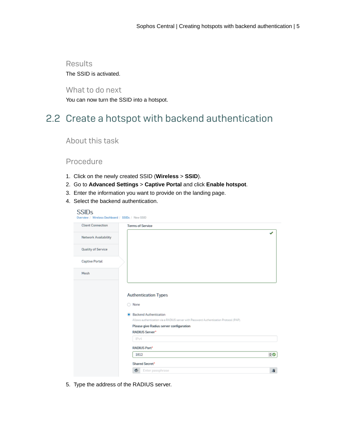#### **Results** The SSID is activated.

What to do next

You can now turn the SSID into a hotspot.

# <span id="page-4-0"></span>2.2 Create a hotspot with backend authentication

#### About this task

#### Procedure

- 1. Click on the newly created SSID (**Wireless** > **SSID**).
- 2. Go to **Advanced Settings** > **Captive Portal** and click **Enable hotspot**.
- 3. Enter the information you want to provide on the landing page.
- 4. Select the backend authentication.

|                                                                                                                         | J                                     |
|-------------------------------------------------------------------------------------------------------------------------|---------------------------------------|
|                                                                                                                         |                                       |
|                                                                                                                         |                                       |
|                                                                                                                         |                                       |
|                                                                                                                         |                                       |
|                                                                                                                         |                                       |
| <b>Backend Authentication</b><br>Allows authentication via a RADIUS server with Password Authentication Protocol (PAP). |                                       |
| Please give Radius server configuration                                                                                 |                                       |
| <b>RADIUS Server*</b>                                                                                                   |                                       |
| IPv4                                                                                                                    |                                       |
| <b>RADIUS Port</b> *                                                                                                    |                                       |
|                                                                                                                         | <b>Authentication Types</b><br>◯ None |

5. Type the address of the RADIUS server.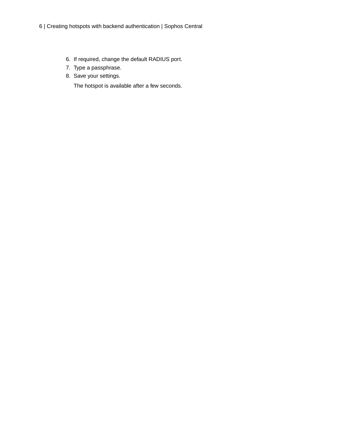- 6. If required, change the default RADIUS port.
- 7. Type a passphrase.
- 8. Save your settings.

The hotspot is available after a few seconds.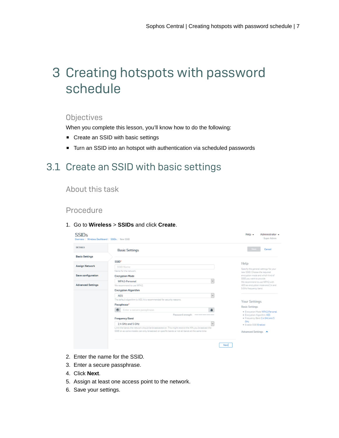# <span id="page-6-0"></span>3 Creating hotspots with password schedule

#### **Objectives**

When you complete this lesson, you'll know how to do the following:

- Create an SSID with basic settings
- Turn an SSID into an hotspot with authentication via scheduled passwords

## <span id="page-6-1"></span>3.1 Create an SSID with basic settings

#### About this task

#### Procedure

1. Go to **Wireless** > **SSIDs** and click **Create**.

| <b>DETAILS</b>           | <b>Basic Settings</b>                                                                               | <b>Seve</b><br>Cancel                                      |  |
|--------------------------|-----------------------------------------------------------------------------------------------------|------------------------------------------------------------|--|
| Besio Settings           |                                                                                                     |                                                            |  |
|                          | SSID*                                                                                               | Help                                                       |  |
| <b>Assign Network</b>    | SSID Name                                                                                           | Specify the general settings for your                      |  |
|                          | Name for the network.                                                                               | new \$\$0. Choose the required                             |  |
| Seve configuration       | <b>Encryption Mode</b>                                                                              | encryption mode and which kind of                          |  |
|                          | $\backsim$<br>WPA2-Personal                                                                         | SSID you went to provide.<br>We recommend to use WPA2 with |  |
| <b>Advanced Settings</b> | We recommend to use WPA2                                                                            | AES as encryption mode and 2.4 and                         |  |
|                          | <b>Encryption Algorithm</b>                                                                         | 5 OHz frequency band.                                      |  |
|                          | <b>V</b><br><b>AFS</b>                                                                              |                                                            |  |
|                          | The default algorithm is AES. It is recommended for security reasons.                               | <b>Your Settings</b>                                       |  |
|                          | Passphrase*                                                                                         | <b>Basic Settings</b>                                      |  |
|                          | 雇<br>ob.<br>Enter a secure passphrase.                                                              | · Encryption Mode WPA2-Personal                            |  |
|                          | Password strangth: ==========                                                                       | · Encryation Algorithm AES                                 |  |
|                          | <b>Frequency Band</b>                                                                               | · Frequency Band 2.4 GHz and 5                             |  |
|                          | 2.4 GHz and 5 GHz<br>Age 1                                                                          | GHz<br>· Enable SSID Enabled                               |  |
|                          | Limit the bands the network should be broadcasted on. This might restrict the APs you broadcast the |                                                            |  |
|                          | SSE on as some models can only broadcast on specific bands or not all bands at the same time.       | Advanced Settings A                                        |  |

- 2. Enter the name for the SSID.
- 3. Enter a secure passphrase.
- 4. Click **Next**.
- 5. Assign at least one access point to the network.
- 6. Save your settings.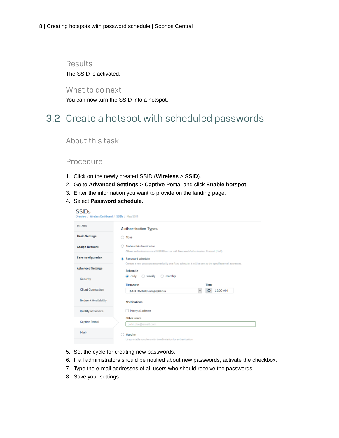#### Results The SSID is activated.

What to do next

You can now turn the SSID into a hotspot.

## <span id="page-7-0"></span>3.2 Create a hotspot with scheduled passwords

#### About this task

#### Procedure

- 1. Click on the newly created SSID (**Wireless** > **SSID**).
- 2. Go to **Advanced Settings** > **Captive Portal** and click **Enable hotspot**.
- 3. Enter the information you want to provide on the landing page.
- 4. Select **Password schedule**.

| SSIDs<br>Overview / Wireless Dashboard / SSIDs / New SSID |                                                                                                                         |
|-----------------------------------------------------------|-------------------------------------------------------------------------------------------------------------------------|
| <b>DETAILS</b>                                            | <b>Authentication Types</b>                                                                                             |
| <b>Basic Settings</b>                                     | ◯ Nane                                                                                                                  |
| <b>Assign Network</b>                                     | <b>Backend Authentication</b><br>Allows authentication via a RADIUS server with Password Authentication Protocol (PAP). |
| Save configuration                                        | Password schedule                                                                                                       |
| <b>Advenced Settings</b>                                  | Creates a new password automatically on a fixed schedule. It will be sent to the specified email addresses.<br>Schedule |
| Security                                                  | ○ weekly<br>monthly<br>a daily<br>O.                                                                                    |
| <b>Client Connection</b>                                  | Timezone<br>Time<br>12:00 AM<br>$^{\circ}$<br>(GMT+02:00) Europe/Berlin<br>$\sim$                                       |
| Network Availability                                      | <b>Notifications</b>                                                                                                    |
| Quality of Service                                        | Notify all admins                                                                                                       |
| <b>Captive Portal</b>                                     | Other users<br>john.doe@email.com                                                                                       |
| Mesh                                                      | <b>Voucher</b><br>Use printable vouchers with time limitation for authentication.                                       |

- 5. Set the cycle for creating new passwords.
- 6. If all administrators should be notified about new passwords, activate the checkbox.
- 7. Type the e-mail addresses of all users who should receive the passwords.
- 8. Save your settings.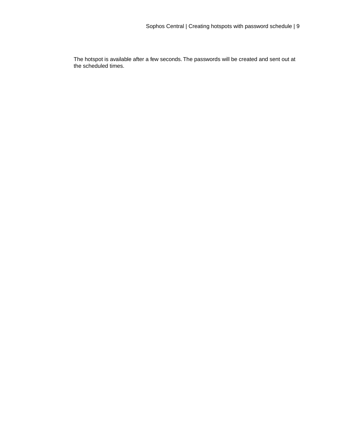The hotspot is available after a few seconds. The passwords will be created and sent out at the scheduled times.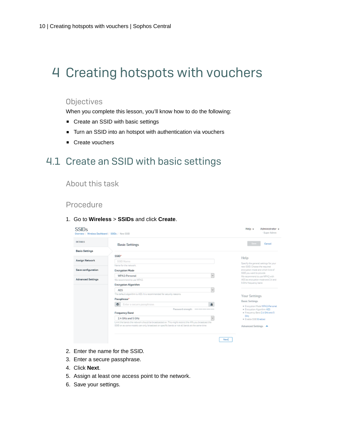# <span id="page-9-0"></span>4 Creating hotspots with vouchers

#### **Objectives**

When you complete this lesson, you'll know how to do the following:

- Create an SSID with basic settings
- Turn an SSID into an hotspot with authentication via vouchers
- Create vouchers

## <span id="page-9-1"></span>4.1 Create an SSID with basic settings

#### About this task

#### Procedure

#### 1. Go to **Wireless** > **SSIDs** and click **Create**.

| DETAILS.                 | <b>Basic Settings</b>                                                                                                                                                                                 | Seve <sub>1</sub><br>Cancel                                   |
|--------------------------|-------------------------------------------------------------------------------------------------------------------------------------------------------------------------------------------------------|---------------------------------------------------------------|
| <b>Besie Settings</b>    |                                                                                                                                                                                                       |                                                               |
|                          | SSID*                                                                                                                                                                                                 | Help                                                          |
| <b>Assign Network</b>    | SSID Name                                                                                                                                                                                             | Specify the general settings for your                         |
|                          | Name for the network.                                                                                                                                                                                 | new \$\$0. Choose the required                                |
| Seve configuration       | <b>Encryption Mode</b>                                                                                                                                                                                | encryption mode and which kind of<br>SSD you went to provide. |
|                          | $\sim$<br>WPA2-Personal                                                                                                                                                                               | We recommend to use WPA2 with                                 |
| <b>Advanced Settings</b> | We recommend to use WPA2.                                                                                                                                                                             | AES as encryption mode and 2.4 and<br>5 OHz frequency band.   |
|                          | <b>Encryption Algorithm</b>                                                                                                                                                                           |                                                               |
|                          | <b>V</b><br><b>AFS</b>                                                                                                                                                                                |                                                               |
|                          | The default algorithm is AES. It is recommended for security reasons.                                                                                                                                 | <b>Your Settings</b>                                          |
|                          | Passphrase*                                                                                                                                                                                           | <b>Basic Settings</b>                                         |
|                          | 扇<br>Enter a secure passphrase.<br>ob.                                                                                                                                                                | · Encryation Made WPA2-Personal.                              |
|                          | Password strangth: ===========                                                                                                                                                                        | · Encryation Algorithm AES                                    |
|                          | <b>Frequency Band</b>                                                                                                                                                                                 | · Frequency Band 2.4 GHz and 5<br>GHz                         |
|                          | 2.4 GHz and 5 GHz<br>$\omega$                                                                                                                                                                         | · Enable SSID Enabled                                         |
|                          | Limit the bands the network should be broadcasted on. This might restrict the APs you broadcast the<br>SSID on as some models can only broadcast on specific bands or not all bands at the same time. |                                                               |
|                          |                                                                                                                                                                                                       | Advanced Settings A                                           |

- 2. Enter the name for the SSID.
- 3. Enter a secure passphrase.
- 4. Click **Next**.
- 5. Assign at least one access point to the network.
- 6. Save your settings.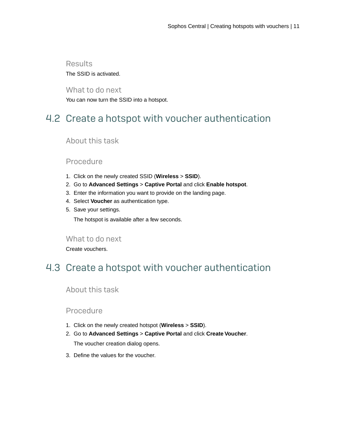#### Results The SSID is activated.

What to do next You can now turn the SSID into a hotspot.

# <span id="page-10-0"></span>4.2 Create a hotspot with voucher authentication

#### About this task

#### Procedure

- 1. Click on the newly created SSID (**Wireless** > **SSID**).
- 2. Go to **Advanced Settings** > **Captive Portal** and click **Enable hotspot**.
- 3. Enter the information you want to provide on the landing page.
- 4. Select **Voucher** as authentication type.
- 5. Save your settings.

The hotspot is available after a few seconds.

What to do next

Create vouchers.

## <span id="page-10-1"></span>4.3 Create a hotspot with voucher authentication

About this task

#### Procedure

- 1. Click on the newly created hotspot (**Wireless** > **SSID**).
- 2. Go to **Advanced Settings** > **Captive Portal** and click **Create Voucher**. The voucher creation dialog opens.
- 3. Define the values for the voucher.